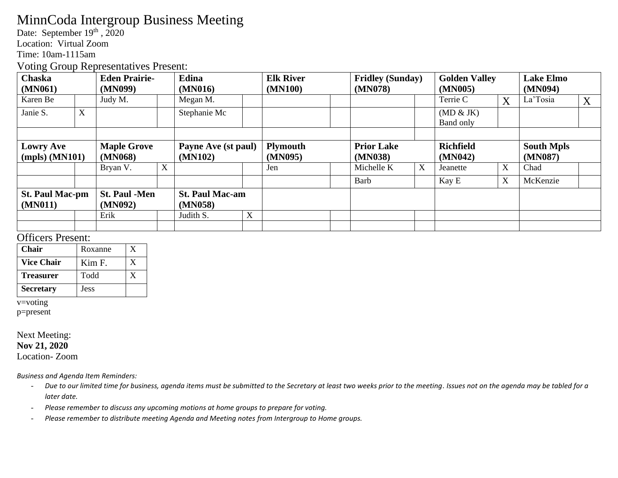## MinnCoda Intergroup Business Meeting

Date: September 19<sup>th</sup>, 2020

Location: Virtual Zoom

Time: 10am-1115am

Voting Group Representatives Present:

| <b>Chaska</b>          |   | <b>Eden Prairie-</b> |   | Edina                  |             | <b>Elk River</b> |  | <b>Fridley (Sunday)</b> |   | <b>Golden Valley</b> |   | <b>Lake Elmo</b>  |   |
|------------------------|---|----------------------|---|------------------------|-------------|------------------|--|-------------------------|---|----------------------|---|-------------------|---|
| (MN061)                |   | (MN099)              |   | (MN016)                |             | (MN100)          |  | (MN078)                 |   | (MN005)              |   | (MN094)           |   |
| Karen Be               |   | Judy M.              |   | Megan M.               |             |                  |  |                         |   | Terrie C             | X | La'Tosia          | X |
| Janie S.               | X |                      |   | Stephanie Mc           |             |                  |  |                         |   | (MD & JK)            |   |                   |   |
|                        |   |                      |   |                        |             |                  |  |                         |   | Band only            |   |                   |   |
|                        |   |                      |   |                        |             |                  |  |                         |   |                      |   |                   |   |
| <b>Lowry Ave</b>       |   | <b>Maple Grove</b>   |   | Payne Ave (st paul)    |             | <b>Plymouth</b>  |  | <b>Prior Lake</b>       |   | <b>Richfield</b>     |   | <b>South Mpls</b> |   |
| $(mpls)$ (MN101)       |   | (MN068)              |   | (MN102)                |             | (MN095)          |  | (MN038)                 |   | (MN042)              |   | (MN087)           |   |
|                        |   | Bryan V.             | X |                        |             | Jen              |  | Michelle K              | X | Jeanette             | X | Chad              |   |
|                        |   |                      |   |                        |             |                  |  | Barb                    |   | Kay E                | X | McKenzie          |   |
| <b>St. Paul Mac-pm</b> |   | <b>St. Paul -Men</b> |   | <b>St. Paul Mac-am</b> |             |                  |  |                         |   |                      |   |                   |   |
| (MN011)                |   | (MN092)              |   | (MN058)                |             |                  |  |                         |   |                      |   |                   |   |
|                        |   | Erik                 |   | Judith S.              | $\mathbf X$ |                  |  |                         |   |                      |   |                   |   |
|                        |   |                      |   |                        |             |                  |  |                         |   |                      |   |                   |   |

### Officers Present:

| Chair             | Roxanne     |  |
|-------------------|-------------|--|
| <b>Vice Chair</b> | Kim F.      |  |
| <b>Treasurer</b>  | Todd        |  |
| <b>Secretary</b>  | <b>Jess</b> |  |

v=voting

p=present

#### Next Meeting: **Nov 21, 2020**

Location- Zoom

*Business and Agenda Item Reminders:*

- *Due to our limited time for business, agenda items must be submitted to the Secretary at least two weeks prior to the meeting. Issues not on the agenda may be tabled for a later date.*
- *Please remember to discuss any upcoming motions at home groups to prepare for voting.*
- *Please remember to distribute meeting Agenda and Meeting notes from Intergroup to Home groups.*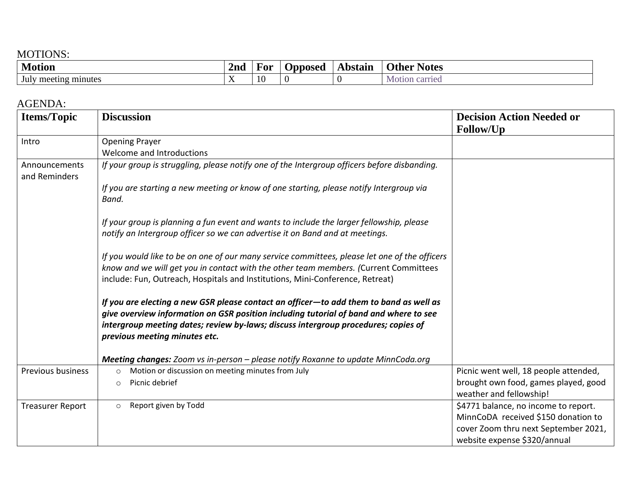## MOTIONS:

| <b>Motion</b>                           | <i>l</i> nc            | F or | <u>Innosed</u><br>www | Abstain | <b>Notes</b><br><b>Sther</b> |
|-----------------------------------------|------------------------|------|-----------------------|---------|------------------------------|
| $\mathbf{r}$<br>meeting minutes<br>July | $ -$<br>$\overline{1}$ |      |                       |         | carried<br>Motion            |

### AGENDA:

| <b>Items/Topic</b>             | <b>Discussion</b>                                                                                                                                                                                                                                                                                      | <b>Decision Action Needed or</b><br>Follow/Up                                                                                                       |
|--------------------------------|--------------------------------------------------------------------------------------------------------------------------------------------------------------------------------------------------------------------------------------------------------------------------------------------------------|-----------------------------------------------------------------------------------------------------------------------------------------------------|
| Intro                          | <b>Opening Prayer</b>                                                                                                                                                                                                                                                                                  |                                                                                                                                                     |
|                                | Welcome and Introductions                                                                                                                                                                                                                                                                              |                                                                                                                                                     |
| Announcements<br>and Reminders | If your group is struggling, please notify one of the Intergroup officers before disbanding.                                                                                                                                                                                                           |                                                                                                                                                     |
|                                | If you are starting a new meeting or know of one starting, please notify Intergroup via<br>Band.                                                                                                                                                                                                       |                                                                                                                                                     |
|                                | If your group is planning a fun event and wants to include the larger fellowship, please<br>notify an Intergroup officer so we can advertise it on Band and at meetings.                                                                                                                               |                                                                                                                                                     |
|                                | If you would like to be on one of our many service committees, please let one of the officers<br>know and we will get you in contact with the other team members. (Current Committees<br>include: Fun, Outreach, Hospitals and Institutions, Mini-Conference, Retreat)                                 |                                                                                                                                                     |
|                                | If you are electing a new GSR please contact an officer-to add them to band as well as<br>give overview information on GSR position including tutorial of band and where to see<br>intergroup meeting dates; review by-laws; discuss intergroup procedures; copies of<br>previous meeting minutes etc. |                                                                                                                                                     |
|                                | Meeting changes: Zoom vs in-person - please notify Roxanne to update MinnCoda.org                                                                                                                                                                                                                      |                                                                                                                                                     |
| Previous business              | Motion or discussion on meeting minutes from July<br>$\circ$                                                                                                                                                                                                                                           | Picnic went well, 18 people attended,                                                                                                               |
|                                | Picnic debrief<br>$\circ$                                                                                                                                                                                                                                                                              | brought own food, games played, good<br>weather and fellowship!                                                                                     |
| <b>Treasurer Report</b>        | Report given by Todd<br>$\circ$                                                                                                                                                                                                                                                                        | \$4771 balance, no income to report.<br>MinnCoDA received \$150 donation to<br>cover Zoom thru next September 2021,<br>website expense \$320/annual |